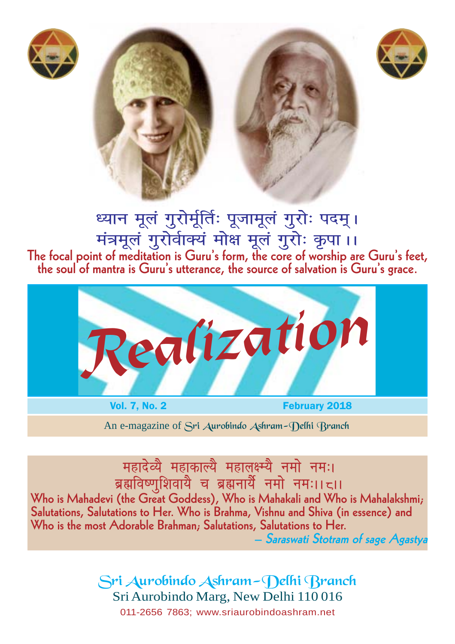





ध्यान मूलं गुरोर्मूर्तिः पूजामूलं गुरोः पदम्। मंत्रमूलं गुरोर्वाक्यं मोक्षं मूलं गुरोः कृपा ।।<br>The focal point of meditation is Guru's form, the core of worship are Guru's feet, **the soul of mantra is Guru's utterance, the source of salvation is Guru's grace.**



An e-magazine of Sri Aurobindo Ashram-Delhi Branch

सहादेव्यै महाकाल्यै महालक्ष्म्यै नमो नमः।<br>ब्रह्मविष्णुशिवायै च ब्रह्मनार्यै नमो नमः।।८।। Who is Mahadevi (the Great Goddess), Who is Mahakali and Who is Mahalakshmi; **Salutations, Salutations to Her. Who is Brahma, Vishnu and Shiva (in essence) and Who is the most Adorable Brahman; Salutations, Salutations to Her. – Saraswati Stotram of sage Agastya**

> Sri Aurobindo Ashram-Delhi Branch Sri Aurobindo Marg, New Delhi 110 016 011-2656 7863; www.sriaurobindoashram.net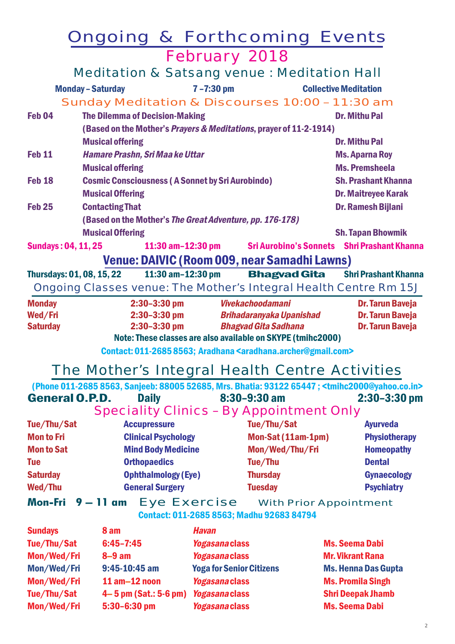|                                                                                                                                                            |                                                                                    | <b>Ongoing &amp; Forthcoming Events</b>                                                                               |                                                   |
|------------------------------------------------------------------------------------------------------------------------------------------------------------|------------------------------------------------------------------------------------|-----------------------------------------------------------------------------------------------------------------------|---------------------------------------------------|
| February 2018                                                                                                                                              |                                                                                    |                                                                                                                       |                                                   |
| Meditation & Satsang venue: Meditation Hall                                                                                                                |                                                                                    |                                                                                                                       |                                                   |
| <b>Monday - Saturday</b>                                                                                                                                   |                                                                                    | $7 - 7:30$ pm                                                                                                         | <b>Collective Meditation</b>                      |
|                                                                                                                                                            |                                                                                    | Sunday Meditation & Discourses 10:00 - 11:30 am                                                                       |                                                   |
| Feb <sub>04</sub>                                                                                                                                          | <b>The Dilemma of Decision-Making</b>                                              |                                                                                                                       | <b>Dr. Mithu Pal</b>                              |
|                                                                                                                                                            |                                                                                    | (Based on the Mother's Prayers & Meditations, prayer of 11-2-1914)                                                    |                                                   |
|                                                                                                                                                            | <b>Musical offering</b>                                                            |                                                                                                                       | <b>Dr. Mithu Pal</b>                              |
| <b>Feb 11</b>                                                                                                                                              | <b>Hamare Prashn, Sri Maa ke Uttar</b>                                             |                                                                                                                       | <b>Ms. Aparna Roy</b><br><b>Ms. Premsheela</b>    |
| <b>Feb 18</b>                                                                                                                                              | <b>Musical offering</b><br><b>Cosmic Consciousness (A Sonnet by Sri Aurobindo)</b> |                                                                                                                       | <b>Sh. Prashant Khanna</b>                        |
|                                                                                                                                                            | <b>Musical Offering</b>                                                            |                                                                                                                       | <b>Dr. Maitreyee Karak</b>                        |
| <b>Feb 25</b>                                                                                                                                              | <b>Contacting That</b>                                                             |                                                                                                                       | <b>Dr. Ramesh Bijlani</b>                         |
|                                                                                                                                                            |                                                                                    | (Based on the Mother's The Great Adventure, pp. 176-178)                                                              |                                                   |
|                                                                                                                                                            | <b>Musical Offering</b>                                                            |                                                                                                                       | <b>Sh. Tapan Bhowmik</b>                          |
| <b>Sundays: 04, 11, 25</b>                                                                                                                                 |                                                                                    | 11:30 am-12:30 pm Sri Aurobino's Sonnets Shri Prashant Khanna                                                         |                                                   |
|                                                                                                                                                            |                                                                                    | Venue: DAIVIC (Room 009, near Samadhi Lawns)                                                                          |                                                   |
| Thursdays: 01, 08, 15, 22                                                                                                                                  |                                                                                    | 11:30 am-12:30 pm<br><b>Bhagvad Gita</b>                                                                              | <b>Shri Prashant Khanna</b>                       |
|                                                                                                                                                            |                                                                                    | Ongoing Classes venue: The Mother's Integral Health Centre Rm 15J                                                     |                                                   |
| <b>Monday</b>                                                                                                                                              | $2:30-3:30$ pm                                                                     | <b>Vivekachoodamani</b>                                                                                               | <b>Dr. Tarun Baveja</b>                           |
| Wed/Fri                                                                                                                                                    | $2:30-3:30$ pm                                                                     | Brihadaranyaka Upanishad                                                                                              | <b>Dr. Tarun Baveja</b>                           |
| <b>Saturday</b><br>$2:30-3:30$ pm<br><b>Bhagvad Gita Sadhana</b><br><b>Dr. Tarun Baveja</b><br>Note: These classes are also available on SKYPE (tmihc2000) |                                                                                    |                                                                                                                       |                                                   |
|                                                                                                                                                            |                                                                                    |                                                                                                                       |                                                   |
|                                                                                                                                                            |                                                                                    | Contact: 011-2685 8563; Aradhana <aradhana.archer@gmail.com></aradhana.archer@gmail.com>                              |                                                   |
|                                                                                                                                                            |                                                                                    | The Mother's Integral Health Centre Activities                                                                        |                                                   |
|                                                                                                                                                            |                                                                                    | (Phone 011-2685 8563, Sanjeeb: 88005 52685, Mrs. Bhatia: 93122 65447; <tmihc2000@yahoo.co.in></tmihc2000@yahoo.co.in> |                                                   |
| <b>General O.P.D.</b>                                                                                                                                      | <b>Daily</b>                                                                       | $8:30-9:30$ am                                                                                                        | $2:30 - 3:30$ pm                                  |
|                                                                                                                                                            |                                                                                    | Speciality Clinics - By Appointment Only                                                                              |                                                   |
| Tue/Thu/Sat                                                                                                                                                | <b>Accupressure</b>                                                                | Tue/Thu/Sat                                                                                                           | <b>Ayurveda</b>                                   |
| <b>Mon to Fri</b>                                                                                                                                          | <b>Clinical Psychology</b>                                                         | Mon-Sat (11am-1pm)                                                                                                    | <b>Physiotherapy</b>                              |
| <b>Mon to Sat</b>                                                                                                                                          | <b>Mind Body Medicine</b>                                                          | Mon/Wed/Thu/Fri                                                                                                       | <b>Homeopathy</b>                                 |
| <b>Tue</b><br><b>Saturday</b>                                                                                                                              | <b>Orthopaedics</b>                                                                | Tue/Thu                                                                                                               | <b>Dental</b>                                     |
| Wed/Thu                                                                                                                                                    | <b>Ophthalmology (Eye)</b><br><b>General Surgery</b>                               | <b>Thursday</b><br><b>Tuesday</b>                                                                                     | <b>Gynaecology</b><br><b>Psychiatry</b>           |
| <b>Mon-Fri</b>                                                                                                                                             | $9 - 11$ am                                                                        | Eye Exercise                                                                                                          | <b>With Prior Appointment</b>                     |
|                                                                                                                                                            |                                                                                    | Contact: 011-2685 8563; Madhu 92683 84794                                                                             |                                                   |
| <b>Sundays</b>                                                                                                                                             | 8 am                                                                               | <b>Havan</b>                                                                                                          |                                                   |
| Tue/Thu/Sat                                                                                                                                                | $6:45 - 7:45$                                                                      | <i><b>Yogasanaclass</b></i>                                                                                           | <b>Ms. Seema Dabi</b>                             |
| Mon/Wed/Fri                                                                                                                                                | $8-9$ am                                                                           | <b>Yogasanaclass</b>                                                                                                  | <b>Mr. Vikrant Rana</b>                           |
| Mon/Wed/Fri                                                                                                                                                | $9:45-10:45$ am                                                                    | <b>Yoga for Senior Citizens</b>                                                                                       | <b>Ms. Henna Das Gupta</b>                        |
| Mon/Wed/Fri                                                                                                                                                | 11 am-12 noon                                                                      | <b>Yogasanaclass</b>                                                                                                  | <b>Ms. Promila Singh</b>                          |
| Tue/Thu/Sat<br>Mon/Wed/Fri                                                                                                                                 | $4 - 5$ pm (Sat.: 5-6 pm)<br>5:30-6:30 pm                                          | <b>Yogasanaclass</b><br><b>Yogasanaclass</b>                                                                          | <b>Shri Deepak Jhamb</b><br><b>Ms. Seema Dabi</b> |
|                                                                                                                                                            |                                                                                    |                                                                                                                       | $\mathfrak{2}$                                    |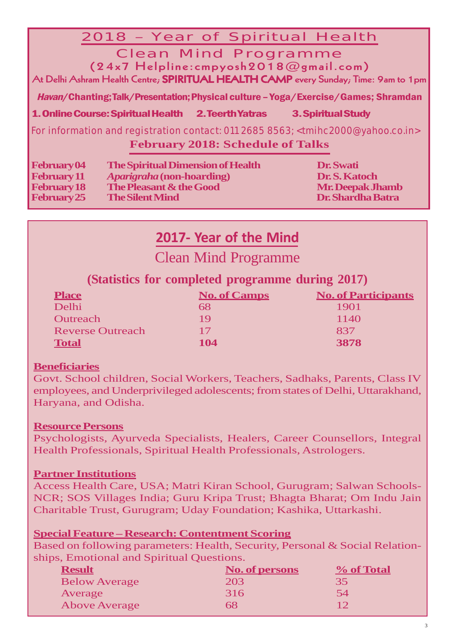# 2018 – Year of Spiritual Health

Clean Mind Programme **(24x7 Helpline:cmpyosh2018@gmail.com)**

At Delhi Ashram Health Centre; **SPIRITUAL HEALTH CAMP** every Sunday; Time: 9am to 1pm

Havan/Chanting; Talk/Presentation; Physical culture – Yoga/Exercise/Games; Shramdan

1. Online Course: Spiritual Health 2. Teerth Yatras 3. Spiritual Study

For information and registration contact: 011 2685 8563; <tmihc2000@yahoo.co.in> **February 2018: Schedule of Talks**

| <b>February</b> 04 | <b>The Spiritual Dimension of Health</b> | Dr. Swati                |
|--------------------|------------------------------------------|--------------------------|
| <b>February 11</b> | <i>Aparigraha</i> (non-hoarding)         | <b>Dr.S. Katoch</b>      |
| <b>February 18</b> | The Pleasant & the Good                  | <b>Mr. Deepak Jhamb</b>  |
| <b>February 25</b> | <b>The Silent Mind</b>                   | <b>Dr. Shardha Batra</b> |
|                    |                                          |                          |

# **2017- Year of the Mind**

Clean Mind Programme

### **(Statistics for completed programme during 2017)**

| <b>Place</b>            | <b>No. of Camps</b> | <b>No. of Participants</b> |
|-------------------------|---------------------|----------------------------|
| Delhi                   | 68                  | 1901                       |
| <b>Outreach</b>         | 19                  | 1140                       |
| <b>Reverse Outreach</b> | 17                  | 837                        |
| <b>Total</b>            | 104                 | 3878                       |

### **Beneficiaries**

Govt. School children, Social Workers, Teachers, Sadhaks, Parents, Class IV employees, and Underprivileged adolescents; from states of Delhi, Uttarakhand, Haryana, and Odisha.

### **Resource Persons**

Psychologists, Ayurveda Specialists, Healers, Career Counsellors, Integral Health Professionals, Spiritual Health Professionals, Astrologers.

### **Partner Institutions**

Access Health Care, USA; Matri Kiran School, Gurugram; Salwan Schools-NCR; SOS Villages India; Guru Kripa Trust; Bhagta Bharat; Om Indu Jain Charitable Trust, Gurugram; Uday Foundation; Kashika, Uttarkashi.

### **Special Feature – Research: Contentment Scoring**

Based on following parameters: Health, Security, Personal & Social Relationships, Emotional and Spiritual Questions.

| <b>Result</b>        | <b>No. of persons</b> | % of Total |
|----------------------|-----------------------|------------|
| <b>Below Average</b> | 203                   | 35         |
| Average              | 316                   | 54         |
| <b>Above Average</b> | 68                    | 1つ         |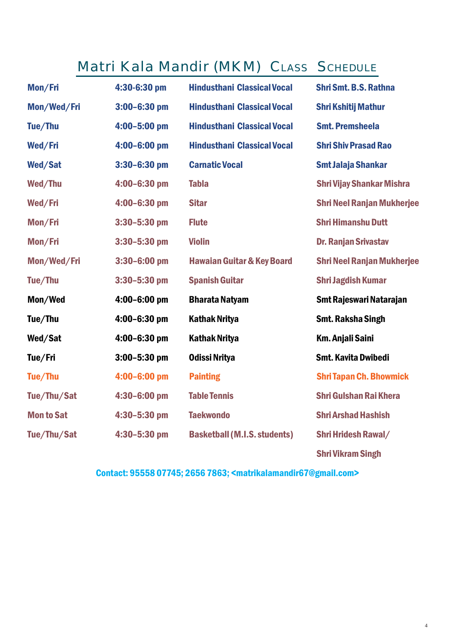# Matri Kala Mandir (MKM) CLASS SCHEDULE

| Mon/Fri           | 4:30-6:30 pm     | <b>Hindusthani Classical Vocal</b>    | <b>Shri Smt. B.S. Rathna</b>      |
|-------------------|------------------|---------------------------------------|-----------------------------------|
| Mon/Wed/Fri       | $3:00 - 6:30$ pm | <b>Hindusthani Classical Vocal</b>    | <b>Shri Kshitij Mathur</b>        |
| Tue/Thu           | 4:00-5:00 pm     | <b>Hindusthani Classical Vocal</b>    | <b>Smt. Premsheela</b>            |
| Wed/Fri           | $4:00 - 6:00$ pm | <b>Hindusthani Classical Vocal</b>    | <b>Shri Shiv Prasad Rao</b>       |
| Wed/Sat           | $3:30-6:30$ pm   | <b>Carnatic Vocal</b>                 | <b>Smt Jalaja Shankar</b>         |
| Wed/Thu           | 4:00-6:30 pm     | <b>Tabla</b>                          | <b>Shri Vijay Shankar Mishra</b>  |
| Wed/Fri           | 4:00-6:30 pm     | <b>Sitar</b>                          | <b>Shri Neel Ranjan Mukherjee</b> |
| Mon/Fri           | $3:30 - 5:30$ pm | <b>Flute</b>                          | <b>Shri Himanshu Dutt</b>         |
| Mon/Fri           | 3:30-5:30 pm     | <b>Violin</b>                         | <b>Dr. Ranjan Srivastav</b>       |
| Mon/Wed/Fri       | $3:30-6:00$ pm   | <b>Hawaian Guitar &amp; Key Board</b> | <b>Shri Neel Ranjan Mukherjee</b> |
| Tue/Thu           | $3:30 - 5:30$ pm | <b>Spanish Guitar</b>                 | <b>Shri Jagdish Kumar</b>         |
| Mon/Wed           | 4:00-6:00 pm     | <b>Bharata Natyam</b>                 | <b>Smt Rajeswari Natarajan</b>    |
| Tue/Thu           | 4:00-6:30 pm     | <b>Kathak Nritya</b>                  | <b>Smt. Raksha Singh</b>          |
| Wed/Sat           | 4:00-6:30 pm     | <b>Kathak Nritya</b>                  | <b>Km. Anjali Saini</b>           |
| Tue/Fri           | $3:00 - 5:30$ pm | <b>Odissi Nritya</b>                  | <b>Smt. Kavita Dwibedi</b>        |
| Tue/Thu           | 4:00-6:00 pm     | <b>Painting</b>                       | <b>Shri Tapan Ch. Bhowmick</b>    |
| Tue/Thu/Sat       | 4:30-6:00 pm     | <b>Table Tennis</b>                   | <b>Shri Gulshan Rai Khera</b>     |
| <b>Mon to Sat</b> | $4:30 - 5:30$ pm | <b>Taekwondo</b>                      | <b>Shri Arshad Hashish</b>        |
| Tue/Thu/Sat       | 4:30-5:30 pm     | <b>Basketball (M.I.S. students)</b>   | <b>Shri Hridesh Rawal/</b>        |
|                   |                  |                                       | <b>Shri Vikram Singh</b>          |

Contact: 95558 07745; 2656 7863; <matrikalamandir67@gmail.com>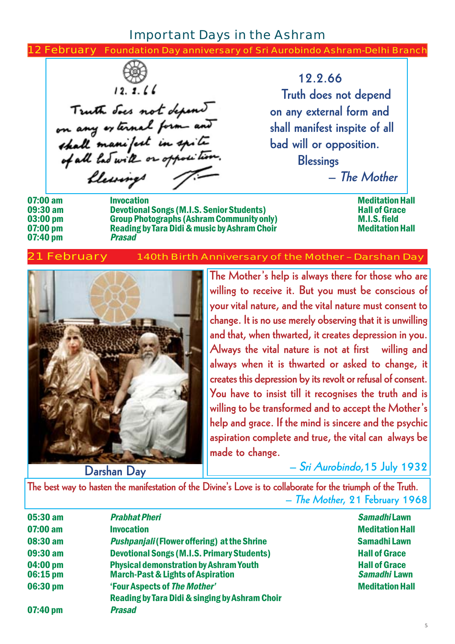## Important Days in the Ashram

February Foundation Day anniversary of Sri Aurobindo Ashram-Delhi Branch

 $12.11$ Truth Soes not depend on any or termal form and<br>shall manifest in spite<br>of all las will or opposition. flexings

**12.2.66 Truth does not depend on any external form and shall manifest inspite of all bad will or opposition. Blessings**

 **– The Mother**

07:40 pm Prasad

07:00 am Invocation Meditation Hall 09:30 am Devotional Songs (M.I.S. Senior Students) and Hall of Grace 03:00 pm Group Photographs (Ashram Community only) M.I.S. field 07:00 pm Reading by Tara Didi & music by Ashram Choir Meditation Hall

#### February 140th Birth Anniversary of the Mother – Darshan Day



**Darshan Day**

**The Mother's help is always there for those who are willing to receive it. But you must be conscious of your vital nature, and the vital nature must consent to change. It is no use merely observing that it is unwilling and that, when thwarted, it creates depression in you. Always the vital nature is not at first willing and always when it is thwarted or asked to change, it creates this depression by its revolt or refusal of consent. You have to insist till it recognises the truth and is willing to be transformed and to accept the Mother's help and grace. If the mind is sincere and the psychic aspiration complete and true, the vital can always be made to change.**

**– Sri Aurobindo,15 July 1932**

5

**The best way to hasten the manifestation of the Divine's Love is to collaborate for the triumph of the Truth. – The Mother, 21 February 1968**

| 05:30 am             | <b>Prabhat Pheri</b>                                                                          | <b>SamadhiLawn</b>                   |
|----------------------|-----------------------------------------------------------------------------------------------|--------------------------------------|
| 07:00 am             | <b>Invocation</b>                                                                             | <b>Meditation Hall</b>               |
| 08:30 am             | <b>Pushpanjali (Flower offering) at the Shrine</b>                                            | <b>Samadhi Lawn</b>                  |
| $09:30$ am           | <b>Devotional Songs (M.I.S. Primary Students)</b>                                             | <b>Hall of Grace</b>                 |
| 04:00 pm<br>06:15 pm | <b>Physical demonstration by Ashram Youth</b><br><b>March-Past &amp; Lights of Aspiration</b> | <b>Hall of Grace</b><br>Samadhi Lawn |
| 06:30 pm             | 'Four Aspects of The Mother'                                                                  | <b>Meditation Hall</b>               |
|                      | <b>Reading by Tara Didi &amp; singing by Ashram Choir</b>                                     |                                      |
| 07:40 pm             | <b>Prasad</b>                                                                                 |                                      |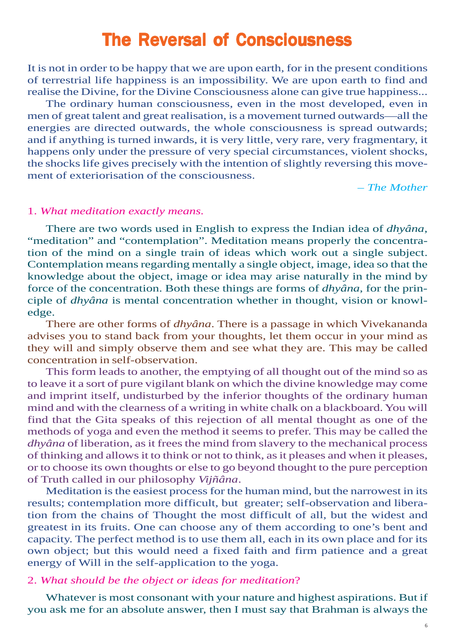# The Reversal of Consciousness The Reversal of Consciousness

It is not in order to be happy that we are upon earth, for in the present conditions of terrestrial life happiness is an impossibility. We are upon earth to find and realise the Divine, for the Divine Consciousness alone can give true happiness...

The ordinary human consciousness, even in the most developed, even in men of great talent and great realisation, is a movement turned outwards—all the energies are directed outwards, the whole consciousness is spread outwards; and if anything is turned inwards, it is very little, very rare, very fragmentary, it happens only under the pressure of very special circumstances, violent shocks, the shocks life gives precisely with the intention of slightly reversing this movement of exteriorisation of the consciousness.

*– The Mother*

#### 1. *What meditation exactly means.*

There are two words used in English to express the Indian idea of *dhyâna*, "meditation" and "contemplation". Meditation means properly the concentration of the mind on a single train of ideas which work out a single subject. Contemplation means regarding mentally a single object, image, idea so that the knowledge about the object, image or idea may arise naturally in the mind by force of the concentration. Both these things are forms of *dhyâna*, for the principle of *dhyâna* is mental concentration whether in thought, vision or knowledge.

There are other forms of *dhyâna*. There is a passage in which Vivekananda advises you to stand back from your thoughts, let them occur in your mind as they will and simply observe them and see what they are. This may be called concentration in self-observation.

This form leads to another, the emptying of all thought out of the mind so as to leave it a sort of pure vigilant blank on which the divine knowledge may come and imprint itself, undisturbed by the inferior thoughts of the ordinary human mind and with the clearness of a writing in white chalk on a blackboard. You will find that the Gita speaks of this rejection of all mental thought as one of the methods of yoga and even the method it seems to prefer. This may be called the *dhyâna* of liberation, as it frees the mind from slavery to the mechanical process of thinking and allows it to think or not to think, as it pleases and when it pleases, or to choose its own thoughts or else to go beyond thought to the pure perception of Truth called in our philosophy *Vijñâna*.

Meditation is the easiest process for the human mind, but the narrowest in its results; contemplation more difficult, but greater; self-observation and liberation from the chains of Thought the most difficult of all, but the widest and greatest in its fruits. One can choose any of them according to one's bent and capacity. The perfect method is to use them all, each in its own place and for its own object; but this would need a fixed faith and firm patience and a great energy of Will in the self-application to the yoga.

#### 2. *What should be the object or ideas for meditation*?

Whatever is most consonant with your nature and highest aspirations. But if you ask me for an absolute answer, then I must say that Brahman is always the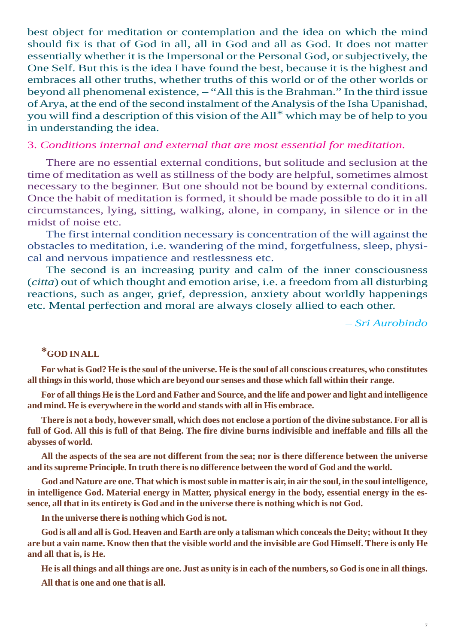best object for meditation or contemplation and the idea on which the mind should fix is that of God in all, all in God and all as God. It does not matter essentially whether it is the Impersonal or the Personal God, or subjectively, the One Self. But this is the idea I have found the best, because it is the highest and embraces all other truths, whether truths of this world or of the other worlds or beyond all phenomenal existence, – "All this is the Brahman." In the third issue of Arya, at the end of the second instalment of the Analysis of the Isha Upanishad, you will find a description of this vision of the All\* which may be of help to you in understanding the idea.

#### 3. *Conditions internal and external that are most essential for meditation.*

There are no essential external conditions, but solitude and seclusion at the time of meditation as well as stillness of the body are helpful, sometimes almost necessary to the beginner. But one should not be bound by external conditions. Once the habit of meditation is formed, it should be made possible to do it in all circumstances, lying, sitting, walking, alone, in company, in silence or in the midst of noise etc.

The first internal condition necessary is concentration of the will against the obstacles to meditation, i.e. wandering of the mind, forgetfulness, sleep, physical and nervous impatience and restlessness etc.

The second is an increasing purity and calm of the inner consciousness (*citta*) out of which thought and emotion arise, i.e. a freedom from all disturbing reactions, such as anger, grief, depression, anxiety about worldly happenings etc. Mental perfection and moral are always closely allied to each other.

– *Sri Aurobindo*

#### **\*GOD IN ALL**

**For what is God? He is the soul of the universe. He is the soul of all conscious creatures, who constitutes all things in this world, those which are beyond our senses and those which fall within their range.**

**For of all things He is the Lord and Father and Source, and the life and power and light and intelligence and mind. He is everywhere in the world and stands with all in His embrace.**

**There is not a body, however small, which does not enclose a portion of the divine substance. For all is full of God. All this is full of that Being. The fire divine burns indivisible and ineffable and fills all the abysses of world.**

**All the aspects of the sea are not different from the sea; nor is there difference between the universe and its supreme Principle. In truth there is no difference between the word of God and the world.**

**God and Nature are one. That which is most suble in matter is air, in air the soul, in the soul intelligence, in intelligence God. Material energy in Matter, physical energy in the body, essential energy in the essence, all that in its entirety is God and in the universe there is nothing which is not God.**

**In the universe there is nothing which God is not.**

**God is all and all is God. Heaven and Earth are only a talisman which conceals the Deity; without It they are but a vain name. Know then that the visible world and the invisible are God Himself. There is only He and all that is, is He.**

**He is all things and all things are one. Just as unity is in each of the numbers, so God is one in all things.**

**All that is one and one that is all.**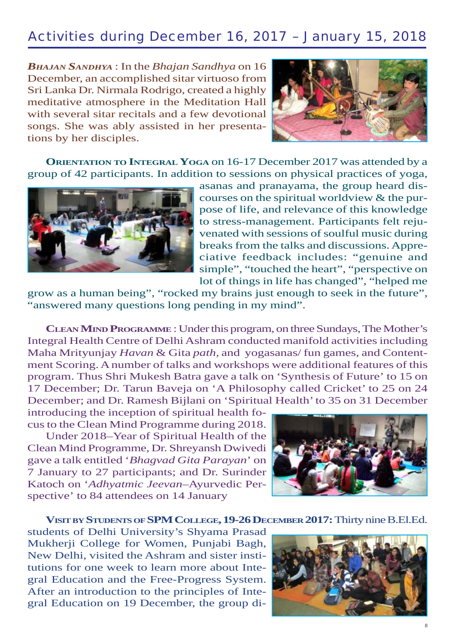# Activities during December 16, 2017 – January 15, 2018

*BHAJAN SANDHYA* : In the *Bhajan Sandhya* on 16 December, an accomplished sitar virtuoso from Sri Lanka Dr. Nirmala Rodrigo, created a highly meditative atmosphere in the Meditation Hall with several sitar recitals and a few devotional songs. She was ably assisted in her presentations by her disciples.



**ORIENTATION TO INTEGRAL YOGA** on 16-17 December 2017 was attended by a group of 42 participants. In addition to sessions on physical practices of yoga,



asanas and pranayama, the group heard discourses on the spiritual worldview & the purpose of life, and relevance of this knowledge to stress-management. Participants felt rejuvenated with sessions of soulful music during breaks from the talks and discussions. Appreciative feedback includes: "genuine and simple", "touched the heart", "perspective on lot of things in life has changed", "helped me

grow as a human being", "rocked my brains just enough to seek in the future", "answered many questions long pending in my mind".

**CLEAN MIND PROGRAMME** : Under this program, on three Sundays, The Mother's Integral Health Centre of Delhi Ashram conducted manifold activities including Maha Mrityunjay *Havan* & Gita *path,* and yogasanas/ fun games, and Contentment Scoring. A number of talks and workshops were additional features of this program. Thus Shri Mukesh Batra gave a talk on 'Synthesis of Future' to 15 on 17 December; Dr. Tarun Baveja on 'A Philosophy called Cricket' to 25 on 24 December; and Dr. Ramesh Bijlani on 'Spiritual Health' to 35 on 31 December

introducing the inception of spiritual health focus to the Clean Mind Programme during 2018.

Under 2018–Year of Spiritual Health of the Clean Mind Programme, Dr. Shreyansh Dwivedi gave a talk entitled '*Bhagvad Gita Parayan*' on 7 January to 27 participants; and Dr. Surinder Katoch on '*Adhyatmic Jeevan*–Ayurvedic Perspective' to 84 attendees on 14 January



**VISITBY STUDENTSOF SPM COLLEGE, 19-26 DECEMBER 2017:** Thirty nine B.El.Ed.

students of Delhi University's Shyama Prasad Mukherji College for Women, Punjabi Bagh, New Delhi, visited the Ashram and sister institutions for one week to learn more about Integral Education and the Free-Progress System. After an introduction to the principles of Integral Education on 19 December, the group di-

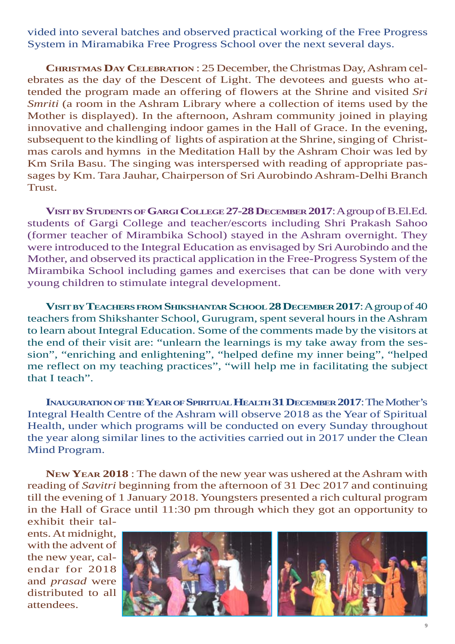vided into several batches and observed practical working of the Free Progress System in Miramabika Free Progress School over the next several days.

**CHRISTMAS DAY CELEBRATION** : 25 December, the Christmas Day, Ashram celebrates as the day of the Descent of Light. The devotees and guests who attended the program made an offering of flowers at the Shrine and visited *Sri Smriti* (a room in the Ashram Library where a collection of items used by the Mother is displayed). In the afternoon, Ashram community joined in playing innovative and challenging indoor games in the Hall of Grace. In the evening, subsequent to the kindling of lights of aspiration at the Shrine, singing of Christmas carols and hymns in the Meditation Hall by the Ashram Choir was led by Km Srila Basu. The singing was interspersed with reading of appropriate passages by Km. Tara Jauhar, Chairperson of Sri Aurobindo Ashram-Delhi Branch **Trust** 

VISIT BY STUDENTS OF GARGI COLLEGE 27-28 DECEMBER 2017: A group of B.El.Ed. students of Gargi College and teacher/escorts including Shri Prakash Sahoo (former teacher of Mirambika School) stayed in the Ashram overnight. They were introduced to the Integral Education as envisaged by Sri Aurobindo and the Mother, and observed its practical application in the Free-Progress System of the Mirambika School including games and exercises that can be done with very young children to stimulate integral development.

**VISITBY TEACHERS FROM SHIKSHANTAR SCHOOL 28 DECEMBER 2017**: A group of 40 teachers from Shikshanter School, Gurugram, spent several hours in the Ashram to learn about Integral Education. Some of the comments made by the visitors at the end of their visit are: "unlearn the learnings is my take away from the session", "enriching and enlightening", "helped define my inner being", "helped me reflect on my teaching practices", "will help me in facilitating the subject that I teach".

**INAUGURATIONOFTHE YEAROF SPIRITUAL HEALTH 31 DECEMBER 2017**: The Mother's Integral Health Centre of the Ashram will observe 2018 as the Year of Spiritual Health, under which programs will be conducted on every Sunday throughout the year along similar lines to the activities carried out in 2017 under the Clean Mind Program.

**NEW YEAR 2018** : The dawn of the new year was ushered at the Ashram with reading of *Savitri* beginning from the afternoon of 31 Dec 2017 and continuing till the evening of 1 January 2018. Youngsters presented a rich cultural program in the Hall of Grace until 11:30 pm through which they got an opportunity to exhibit their tal-

ents. At midnight, with the advent of the new year, calendar for 2018 and *prasad* were distributed to all attendees.

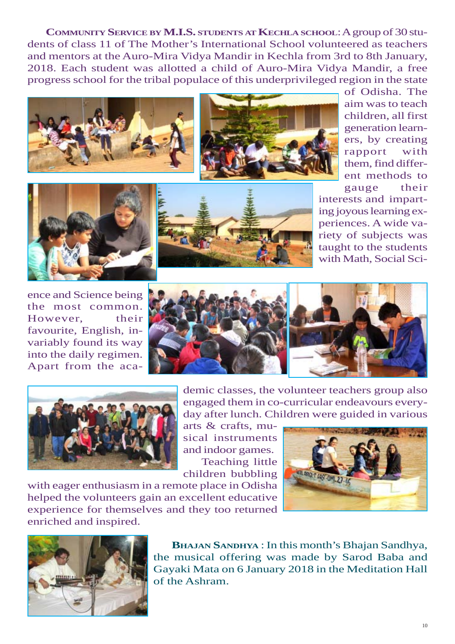**COMMUNITY SERVICE BY M.I.S. STUDENTS AT KECHLA SCHOOL**: A group of 30 students of class 11 of The Mother's International School volunteered as teachers and mentors at the Auro-Mira Vidya Mandir in Kechla from 3rd to 8th January, 2018. Each student was allotted a child of Auro-Mira Vidya Mandir, a free progress school for the tribal populace of this underprivileged region in the state





of Odisha. The aim was to teach children, all first generation learners, by creating rapport with them, find different methods to gauge their

interests and imparting joyous learning experiences. A wide variety of subjects was taught to the students with Math, Social Sci-

ence and Science being the most common. However, their favourite, English, invariably found its way into the daily regimen. Apart from the aca-





demic classes, the volunteer teachers group also engaged them in co-curricular endeavours everyday after lunch. Children were guided in various

arts & crafts, musical instruments and indoor games.

Teaching little children bubbling

with eager enthusiasm in a remote place in Odisha helped the volunteers gain an excellent educative experience for themselves and they too returned enriched and inspired.





**BHAJAN SANDHYA** : In this month's Bhajan Sandhya, the musical offering was made by Sarod Baba and Gayaki Mata on 6 January 2018 in the Meditation Hall of the Ashram.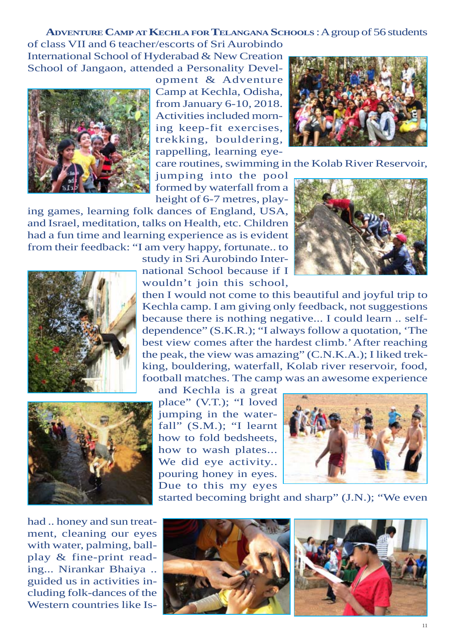### **ADVENTURE CAMP AT KECHLA FOR TELANGANA SCHOOLS** : A group of 56 students

of class VII and 6 teacher/escorts of Sri Aurobindo International School of Hyderabad & New Creation School of Jangaon, attended a Personality Devel-



opment & Adventure Camp at Kechla, Odisha, from January 6-10, 2018. Activities included morning keep-fit exercises, trekking, bouldering, rappelling, learning eye-

care routines, swimming in the Kolab River Reservoir, jumping into the pool formed by waterfall from a height of 6-7 metres, play-

ing games, learning folk dances of England, USA, and Israel, meditation, talks on Health, etc. Children had a fun time and learning experience as is evident from their feedback: "I am very happy, fortunate.. to



then I would not come to this beautiful and joyful trip to Kechla camp. I am giving only feedback, not suggestions because there is nothing negative... I could learn .. selfdependence" (S.K.R.); "I always follow a quotation, 'The best view comes after the hardest climb.' After reaching the peak, the view was amazing" (C.N.K.A.); I liked trekking, bouldering, waterfall, Kolab river reservoir, food, football matches. The camp was an awesome experience



had .. honey and sun treatment, cleaning our eyes with water, palming, ballplay & fine-print reading... Nirankar Bhaiya .. guided us in activities including folk-dances of the Western countries like Is-

and Kechla is a great place" (V.T.); "I loved jumping in the waterfall" (S.M.); "I learnt how to fold bedsheets, how to wash plates... We did eye activity.. pouring honey in eyes. Due to this my eyes



started becoming bright and sharp" (J.N.); "We even





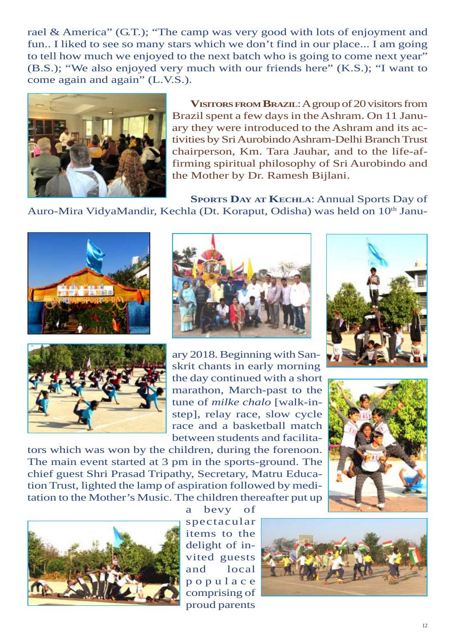rael & America" (G.T.); "The camp was very good with lots of enjoyment and fun.. I liked to see so many stars which we don't find in our place... I am going to tell how much we enjoyed to the next batch who is going to come next year" (B.S.); "We also enjoyed very much with our friends here" (K.S.); "I want to come again and again" (L.V.S.).



**VISITORS FROM BRAZIL**: A group of 20 visitors from Brazil spent a few days in the Ashram. On 11 January they were introduced to the Ashram and its activities by Sri Aurobindo Ashram-Delhi Branch Trust chairperson, Km. Tara Jauhar, and to the life-affirming spiritual philosophy of Sri Aurobindo and the Mother by Dr. Ramesh Bijlani.

**SPORTS DAY AT KECHLA**: Annual Sports Day of

Auro-Mira VidyaMandir, Kechla (Dt. Koraput, Odisha) was held on 10<sup>th</sup> Janu-









skrit chants in early morning the day continued with a short marathon, March-past to the tune of *milke chalo* [walk-instep], relay race, slow cycle race and a basketball match between students and facilita-

tors which was won by the children, during the forenoon. The main event started at 3 pm in the sports-ground. The chief guest Shri Prasad Tripathy, Secretary, Matru Education Trust, lighted the lamp of aspiration followed by meditation to the Mother's Music. The children thereafter put up





a bevy of spectacular items to the delight of invited guests and local populace comprising of proud parents

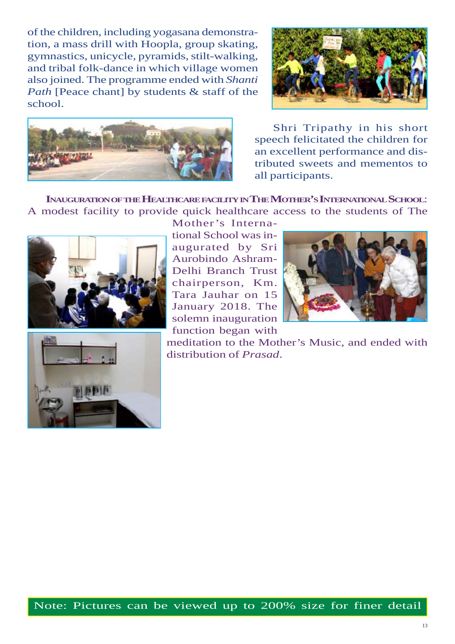of the children, including yogasana demonstration, a mass drill with Hoopla, group skating, gymnastics, unicycle, pyramids, stilt-walking, and tribal folk-dance in which village women also joined. The programme ended with *Shanti* Path [Peace chant] by students & staff of the school.





Shri Tripathy in his short speech felicitated the children for an excellent performance and distributed sweets and mementos to all participants.

**INAUGURATION OF THE HEALTHCARE FACILITY IN THE MOTHER'S INTERNATIONAL SCHOOL:** A modest facility to provide quick healthcare access to the students of The



Mother's International School was inaugurated by Sri Aurobindo Ashram-Delhi Branch Trust chairperson, Km. Tara Jauhar on 15 January 2018. The solemn inauguration function began with



meditation to the Mother's Music, and ended with distribution of *Prasad*.

#### Note: Pictures can be viewed up to 200% size for finer detail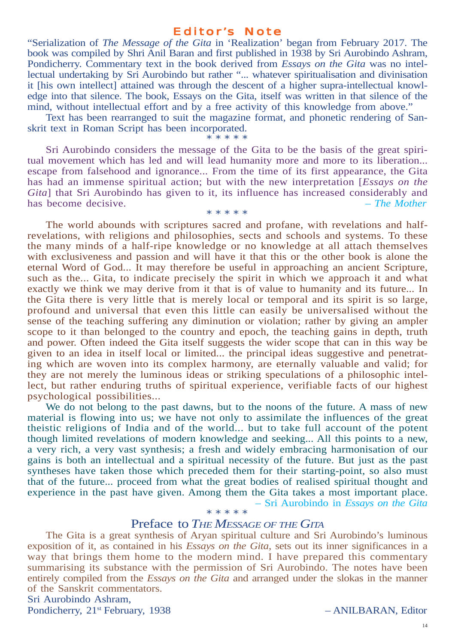#### Editor's Note

"Serialization of *The Message of the Gita* in 'Realization' began from February 2017. The book was compiled by Shri Anil Baran and first published in 1938 by Sri Aurobindo Ashram, Pondicherry. Commentary text in the book derived from *Essays on the Gita* was no intellectual undertaking by Sri Aurobindo but rather "... whatever spiritualisation and divinisation it [his own intellect] attained was through the descent of a higher supra-intellectual knowledge into that silence. The book, Essays on the Gita, itself was written in that silence of the mind, without intellectual effort and by a free activity of this knowledge from above."

Text has been rearranged to suit the magazine format, and phonetic rendering of Sanskrit text in Roman Script has been incorporated. \* \* \* \* \*

Sri Aurobindo considers the message of the Gita to be the basis of the great spiritual movement which has led and will lead humanity more and more to its liberation... escape from falsehood and ignorance... From the time of its first appearance, the Gita has had an immense spiritual action; but with the new interpretation [*Essays on the Gita*] that Sri Aurobindo has given to it, its influence has increased considerably and has become decisive. – *The Mother* \* \* \* \* \*

The world abounds with scriptures sacred and profane, with revelations and halfrevelations, with religions and philosophies, sects and schools and systems. To these the many minds of a half-ripe knowledge or no knowledge at all attach themselves with exclusiveness and passion and will have it that this or the other book is alone the eternal Word of God... It may therefore be useful in approaching an ancient Scripture, such as the... Gita, to indicate precisely the spirit in which we approach it and what exactly we think we may derive from it that is of value to humanity and its future... In the Gita there is very little that is merely local or temporal and its spirit is so large, profound and universal that even this little can easily be universalised without the sense of the teaching suffering any diminution or violation; rather by giving an ampler scope to it than belonged to the country and epoch, the teaching gains in depth, truth and power. Often indeed the Gita itself suggests the wider scope that can in this way be given to an idea in itself local or limited... the principal ideas suggestive and penetrating which are woven into its complex harmony, are eternally valuable and valid; for they are not merely the luminous ideas or striking speculations of a philosophic intellect, but rather enduring truths of spiritual experience, verifiable facts of our highest psychological possibilities...

We do not belong to the past dawns, but to the noons of the future. A mass of new material is flowing into us; we have not only to assimilate the influences of the great theistic religions of India and of the world... but to take full account of the potent though limited revelations of modern knowledge and seeking... All this points to a new, a very rich, a very vast synthesis; a fresh and widely embracing harmonisation of our gains is both an intellectual and a spiritual necessity of the future. But just as the past syntheses have taken those which preceded them for their starting-point, so also must that of the future... proceed from what the great bodies of realised spiritual thought and experience in the past have given. Among them the Gita takes a most important place. – Sri Aurobindo in *Essays on the Gita* \* \* \* \* \*

### Preface to *THE MESSAGE OF THE GITA*

The Gita is a great synthesis of Aryan spiritual culture and Sri Aurobindo's luminous exposition of it, as contained in his *Essays on the Gita*, sets out its inner significances in a way that brings them home to the modern mind. I have prepared this commentary summarising its substance with the permission of Sri Aurobindo. The notes have been entirely compiled from the *Essays on the Gita* and arranged under the slokas in the manner of the Sanskrit commentators.

Sri Aurobindo Ashram,

Pondicherry,  $21^{st}$  February, 1938 – ANILBARAN, Editor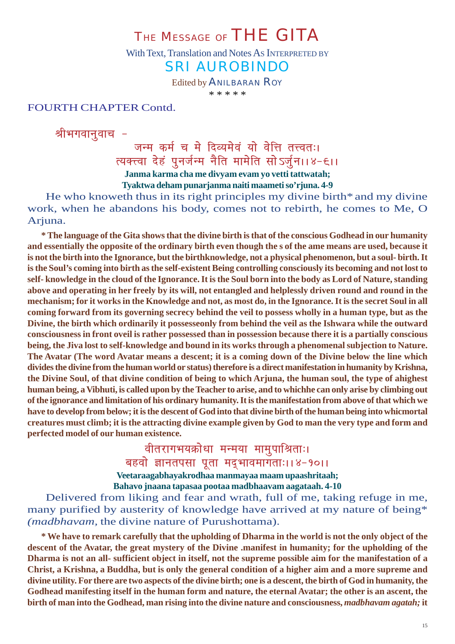THE MESSAGE OF THE GITA With Text, Translation and Notes As INTERPRETED BY

SRI AUROBINDO

Edited by ANILBARAN ROY

\* \* \* \* \*

FOURTH CHAPTER Contd.

श्रीभगवानुवाच -

### जन्म कर्म च मे दिव्यमेवं यो वेत्ति तत्त्वतः। त्यक्त्वा देहं पुनर्जन्म नैति मामेति सोऽर्जुन।।४-६।। **Janma karma cha me divyam evam yo vetti tattwatah; Tyaktwa deham punarjanma naiti maameti so'rjuna. 4-9**

He who knoweth thus in its right principles my divine birth\* and my divine work, when he abandons his body, comes not to rebirth, he comes to Me, O Arjuna.

**\* The language of the Gita shows that the divine birth is that of the conscious Godhead in our humanity and essentially the opposite of the ordinary birth even though the s of the ame means are used, because it is not the birth into the Ignorance, but the birthknowledge, not a physical phenomenon, but a soul- birth. It is the Soul's coming into birth as the self-existent Being controlling consciously its becoming and not lost to self- knowledge in the cloud of the Ignorance. It is the Soul born into the body as Lord of Nature, standing above and operating in her freely by its will, not entangled and helplessly driven round and round in the mechanism; for it works in the Knowledge and not, as most do, in the Ignorance. It is the secret Soul in all coming forward from its governing secrecy behind the veil to possess wholly in a human type, but as the Divine, the birth which ordinarily it possesseonly from behind the veil as the Ishwara while the outward consciousness in front oveil is rather possessed than in possession because there it is a partially conscious being, the Jiva lost to self-knowledge and bound in its works through a phenomenal subjection to Nature. The Avatar (The word Avatar means a descent; it is a coming down of the Divine below the line which divides the divine from the human world or status) therefore is a direct manifestation in humanity by Krishna, the Divine Soul, of that divine condition of being to which Arjuna, the human soul, the type of ahighest human being, a Vibhuti, is called upon by the Teacher to arise, and to whichhe can only arise by climbing out of the ignorance and limitation of his ordinary humanity. It is the manifestation from above of that which we have to develop from below; it is the descent of God into that divine birth of the human being into whicmortal creatures must climb; it is the attracting divine example given by God to man the very type and form and perfected model of our human existence.**

वीतरागभयक्रोधा मन्मया मामुपाश्रिताः। बहवो ज्ञानतपसा पूता मदुभावमागताः।।४-१०।। **Veetaraagabhayakrodhaa manmayaa maam upaashritaah; Bahavo jnaana tapasaa pootaa madbhaavam aagataah. 4-10**

Delivered from liking and fear and wrath, full of me, taking refuge in me, many purified by austerity of knowledge have arrived at my nature of being\* *(madbhavam,* the divine nature of Purushottama).

**\* We have to remark carefully that the upholding of Dharma in the world is not the only object of the descent of the Avatar, the great mystery of the Divine .manifest in humanity; for the upholding of the Dharma is not an all- sufficient object in itself, not the supreme possible aim for the manifestation of a Christ, a Krishna, a Buddha, but is only the general condition of a higher aim and a more supreme and divine utility. For there are two aspects of the divine birth; one is a descent, the birth of God in humanity, the Godhead manifesting itself in the human form and nature, the eternal Avatar; the other is an ascent, the birth of man into the Godhead, man rising into the divine nature and consciousness,** *madbhavam agatah;* **it**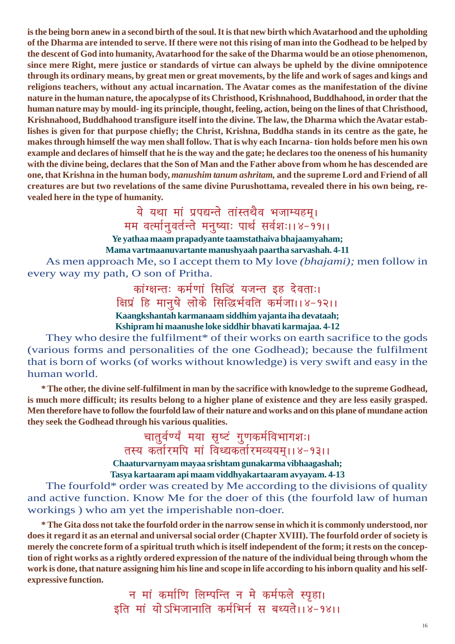**is the being born anew in a second birth of the soul. It is that new birth which Avatarhood and the upholding of the Dharma are intended to serve. If there were not this rising of man into the Godhead to be helped by the descent of God into humanity, Avatarhood for the sake of the Dharma would be an otiose phenomenon, since mere Right, mere justice or standards of virtue can always be upheld by the divine omnipotence through its ordinary means, by great men or great movements, by the life and work of sages and kings and religions teachers, without any actual incarnation. The Avatar comes as the manifestation of the divine nature in the human nature, the apocalypse of its Christhood, Krishnahood, Buddhahood, in order that the human nature may by mould- ing its principle, thought, feeling, action, being on the lines of that Christhood, Krishnahood, Buddhahood transfigure itself into the divine. The law, the Dharma which the Avatar establishes is given for that purpose chiefly; the Christ, Krishna, Buddha stands in its centre as the gate, he makes through himself the way men shall follow. That is why each Incarna- tion holds before men his own example and declares of himself that he is the way and the gate; he declares too the oneness of his humanity with the divine being, declares that the Son of Man and the Father above from whom he has descended are one, that Krishna in the human body,** *manushim tanum ashritam,* **and the supreme Lord and Friend of all creatures are but two revelations of the same divine Purushottama, revealed there in his own being, revealed here in the type of humanity.**

> ये यथा मां प्रपद्यन्ते तांस्तथैव भजाम्यहम्। मम वर्त्मानुवर्तन्ते मनुष्याः पार्थ सर्वशः।।४-११।। **Ye yathaa maam prapadyante taamstathaiva bhajaamyaham;**

**Mama vartmaanuvartante manushyaah paartha sarvashah. 4-11** As men approach Me, so I accept them to My love *(bhajami);* men follow in every way my path, O son of Pritha.

> कांग्क्षन्तः कर्मणां सिद्धिं यजन्त इह देवताः। क्षिप्रं हि मानुषे लोके सिद्धिर्भवति कर्मजा। ४-१२।। **Kaangkshantah karmanaam siddhim yajanta iha devataah; Kshipram hi maanushe loke siddhir bhavati karmajaa. 4-12**

They who desire the fulfilment<sup>\*</sup> of their works on earth sacrifice to the gods (various forms and personalities of the one Godhead); because the fulfilment that is born of works (of works without knowledge) is very swift and easy in the human world.

**\* The other, the divine self-fulfilment in man by the sacrifice with knowledge to the supreme Godhead, is much more difficult; its results belong to a higher plane of existence and they are less easily grasped. Men therefore have to follow the fourfold law of their nature and works and on this plane of mundane action they seek the Godhead through his various qualities.**

> चातुर्वर्ण्यं मया सृष्टं गुणकर्मव<mark>िभागशः</mark>। तस्य कर्तारमपि मां विध्द्यकर्तारमव्ययम्।।४-१३।। **Chaaturvarnyam mayaa srishtam gunakarma vibhaagashah;**

**Tasya kartaaram api maam viddhyakartaaram avyayam. 4-13**

The fourfold\* order was created by Me according to the divisions of quality and active function. Know Me for the doer of this (the fourfold law of human workings ) who am yet the imperishable non-doer.

**\* The Gita doss not take the fourfold order in the narrow sense in which it is commonly understood, nor does it regard it as an eternal and universal social order (Chapter XVIII). The fourfold order of society is merely the concrete form of a spiritual truth which is itself independent of the form; it rests on the conception of right works as a rightly ordered expression of the nature of the individual being through whom the work is done, that nature assigning him his line and scope in life according to his inborn quality and his selfexpressive function.**

> न मां कर्माणि लिम्पन्ति न मे कर्मफले स्पृहा। <u>इति मां योऽभिजानाति कर्मभिर्न स बध्यते।।४-१४।।</u>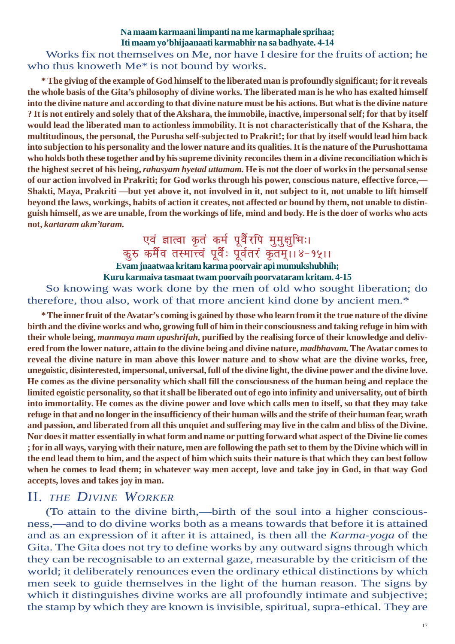#### **Na maam karmaani limpanti na me karmaphale sprihaa; Iti maam yo'bhijaanaati karmabhir na sa badhyate. 4-14**

Works fix not themselves on Me, nor have I desire for the fruits of action; he who thus knoweth Me\* is not bound by works.

**\* The giving of the example of God himself to the liberated man is profoundly significant; for it reveals the whole basis of the Gita's philosophy of divine works. The liberated man is he who has exalted himself into the divine nature and according to that divine nature must be his actions. But what is the divine nature ? It is not entirely and solely that of the Akshara, the immobile, inactive, impersonal self; for that by itself would lead the liberated man to actionless immobility. It is not characteristically that of the Kshara, the multitudinous, the personal, the Purusha self-subjected to Prakrit!; for that by itself would lead him back into subjection to his personality and the lower nature and its qualities. It is the nature of the Purushottama who holds both these together and by his supreme divinity reconciles them in a divine reconciliation which is the highest secret of his being,** *rahasyam hyetad uttamam.* **He is not the doer of works in the personal sense of our action involved in Prakriti; for God works through his power, conscious nature, effective force,— Shakti, Maya, Prakriti —but yet above it, not involved in it, not subject to it, not unable to lift himself beyond the laws, workings, habits of action it creates, not affected or bound by them, not unable to distinguish himself, as we are unable, from the workings of life, mind and body. He is the doer of works who acts not,** *kartaram akm'taram.*

# , एवं ज्ञात्वा कृतं कर्म पूर्वैरपि मुमुक्षुभिः।<br>कुरु कर्मैव तस्मात्त्वं पूर्वैः पूर्वतरं कृतम्।।४-१५।। **Evam jnaatwaa kritam karma poorvair api mumukshubhih; Kuru karmaiva tasmaat twam poorvaih poorvataram kritam. 4-15**

So knowing was work done by the men of old who sought liberation; do therefore, thou also, work of that more ancient kind done by ancient men.\*

**\* The inner fruit of the Avatar's coming is gained by those who learn from it the true nature of the divine birth and the divine works and who, growing full of him in their consciousness and taking refuge in him with their whole being,** *manmaya mam upashrifah,* **purified by the realising force of their knowledge and delivered from the lower nature, attain to the divine being and divine nature,** *madbhavam.* **The Avatar comes to reveal the divine nature in man above this lower nature and to show what are the divine works, free, unegoistic, disinterested, impersonal, universal, full of the divine light, the divine power and the divine love. He comes as the divine personality which shall fill the consciousness of the human being and replace the limited egoistic personality, so that it shall be liberated out of ego into infinity and universality, out of birth into immortality. He comes as the divine power and love which calls men to itself, so that they may take refuge in that and no longer in the insufficiency of their human wills and the strife of their human fear, wrath and passion, and liberated from all this unquiet and suffering may live in the calm and bliss of the Divine. Nor does it matter essentially in what form and name or putting forward what aspect of the Divine lie comes ; for in all ways, varying with their nature, men are following the path set to them by the Divine which will in the end lead them to him, and the aspect of him which suits their nature is that which they can best follow when he comes to lead them; in whatever way men accept, love and take joy in God, in that way God accepts, loves and takes joy in man.**

### II. *THE DIVINE WORKER*

(To attain to the divine birth,—birth of the soul into a higher consciousness,—and to do divine works both as a means towards that before it is attained and as an expression of it after it is attained, is then all the *Karma-yoga* of the Gita. The Gita does not try to define works by any outward signs through which they can be recognisable to an external gaze, measurable by the criticism of the world; it deliberately renounces even the ordinary ethical distinctions by which men seek to guide themselves in the light of the human reason. The signs by which it distinguishes divine works are all profoundly intimate and subjective; the stamp by which they are known is invisible, spiritual, supra-ethical. They are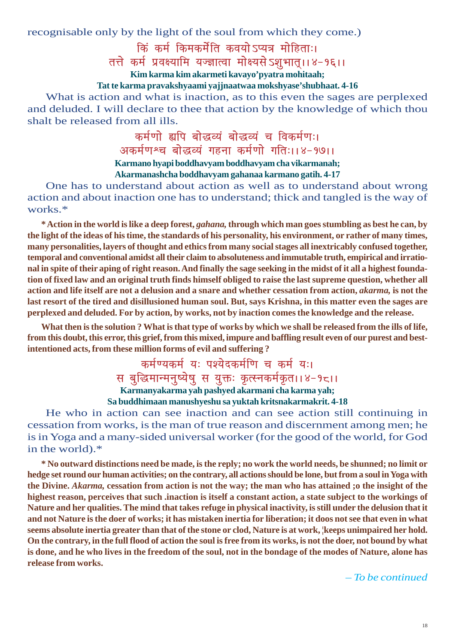recognisable only by the light of the soul from which they come.)

# किं कर्म किमकर्मेति कवयोऽप्यत्र मोहिताः। तत्ते कर्म प्रवक्ष्यामि यज्ज्ञात्वा मोक्ष्यसे ऽशुभात्।। ४-१६।। **Kim karma kim akarmeti kavayo'pyatra mohitaah;**

**Tat te karma pravakshyaami yajjnaatwaa mokshyase'shubhaat. 4-16**

What is action and what is inaction, as to this even the sages are perplexed and deluded. I will declare to thee that action by the knowledge of which thou shalt be released from all ills.

> कर्मणो ह्यपि बोद्धव्यं बोद्धव्यं च विकर्मण:। अकर्मणश्च बोद्धव्यं गहना कर्मणो गति:।।४-१७।। **Karmano hyapi boddhavyam boddhavyam cha vikarmanah; Akarmanashcha boddhavyam gahanaa karmano gatih. 4-17**

One has to understand about action as well as to understand about wrong action and about inaction one has to understand; thick and tangled is the way of works.\*

**\* Action in the world is like a deep forest,** *gahana,* **through which man goes stumbling as best he can, by the light of the ideas of his time, the standards of his personality, his environment, or rather of many times, many personalities, layers of thought and ethics from many social stages all inextricably confused together, temporal and conventional amidst all their claim to absoluteness and immutable truth, empirical and irrational in spite of their aping of right reason. And finally the sage seeking in the midst of it all a highest foundation of fixed law and an original truth finds himself obliged to raise the last supreme question, whether all action and life itself are not a delusion and a snare and whether cessation from action,** *akarma,* **is not the last resort of the tired and disillusioned human soul. But, says Krishna, in this matter even the sages are perplexed and deluded. For by action, by works, not by inaction comes the knowledge and the release.**

**What then is the solution ? What is that type of works by which we shall be released from the ills of life, from this doubt, this error, this grief, from this mixed, impure and baffling result even of our purest and bestintentioned acts, from these million forms of evil and suffering ?**

> कर्मण्यकर्म यः पश्येदकर्मणि च कर्म यः। स बुद्धिमान्मनुष्येषु स युक्तः कृत्स्नकर्मकृता। ४-१८।। **Karmanyakarma yah pashyed akarmani cha karma yah; Sa buddhimaan manushyeshu sa yuktah kritsnakarmakrit. 4-18**

He who in action can see inaction and can see action still continuing in cessation from works, is the man of true reason and discernment among men; he is in Yoga and a many-sided universal worker (for the good of the world, for God in the world).\*

**\* No outward distinctions need be made, is the reply; no work the world needs, be shunned; no limit or hedge set round our human activities; on the contrary, all actions should be lone, but from a soul in Yoga with the Divine.** *Akarma,* **cessation from action is not the way; the man who has attained ;o the insight of the highest reason, perceives that such .inaction is itself a constant action, a state subject to the workings of Nature and her qualities. The mind that takes refuge in physical inactivity, is still under the delusion that it and not Nature is the doer of works; it has mistaken inertia for liberation; it doos not see that even in what seems absolute inertia greater than that of the stone or clod, Nature is at work, ¦keeps unimpaired her hold. On the contrary, in the full flood of action the soul is free from its works, is not the doer, not bound by what is done, and he who lives in the freedom of the soul, not in the bondage of the modes of Nature, alone has release from works.**

– *To be continued*